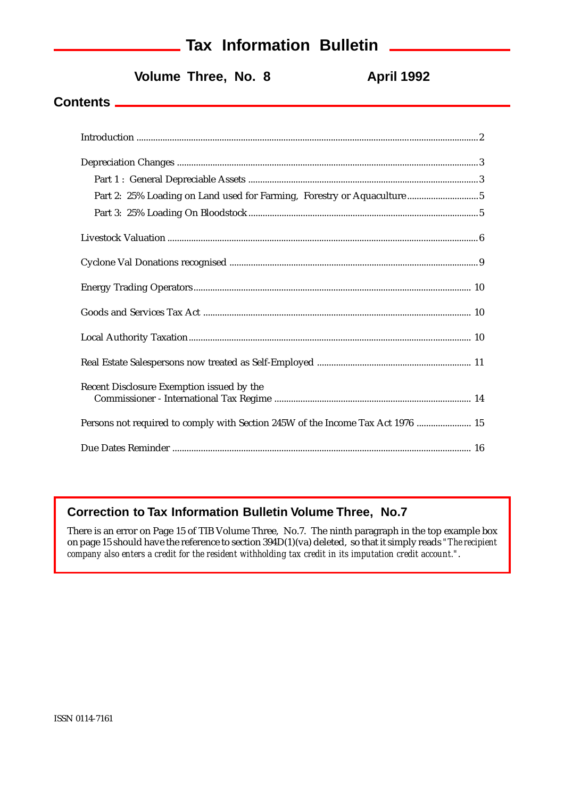# **Tax Information Bulletin**

Volume Three, No. 8 **April 1992** 

### **Contents**

| $\label{eq:1} \textbf{Depreciation Changes} \,\, \ldots \,\, \ldots \,\, \ldots \,\, \ldots \,\, \ldots \,\, \ldots \,\, \ldots \,\, \ldots \,\, \ldots \,\, \ldots \,\, \ldots \,\, \ldots \,\, \ldots \,\, \ldots \,\, \ldots \,\, \ldots \,\, \ldots \,\, \ldots \,\, \ldots \,\, \ldots \,\, \ldots \,\, \ldots \,\, \ldots \,\, \ldots \,\, \ldots \,\, \ldots \,\, \ldots \,\, \ldots \,\, \ldots \,\, \ldots \,\, \ldots \,\, \ldots \,\, \ldots \,\, \ldots$ |
|----------------------------------------------------------------------------------------------------------------------------------------------------------------------------------------------------------------------------------------------------------------------------------------------------------------------------------------------------------------------------------------------------------------------------------------------------------------------|
|                                                                                                                                                                                                                                                                                                                                                                                                                                                                      |
| Part 2: 25% Loading on Land used for Farming, Forestry or Aquaculture 5                                                                                                                                                                                                                                                                                                                                                                                              |
|                                                                                                                                                                                                                                                                                                                                                                                                                                                                      |
|                                                                                                                                                                                                                                                                                                                                                                                                                                                                      |
|                                                                                                                                                                                                                                                                                                                                                                                                                                                                      |
|                                                                                                                                                                                                                                                                                                                                                                                                                                                                      |
|                                                                                                                                                                                                                                                                                                                                                                                                                                                                      |
|                                                                                                                                                                                                                                                                                                                                                                                                                                                                      |
|                                                                                                                                                                                                                                                                                                                                                                                                                                                                      |
| Recent Disclosure Exemption issued by the                                                                                                                                                                                                                                                                                                                                                                                                                            |
| Persons not required to comply with Section 245W of the Income Tax Act 1976  15                                                                                                                                                                                                                                                                                                                                                                                      |
|                                                                                                                                                                                                                                                                                                                                                                                                                                                                      |

### **Correction to Tax Information Bulletin Volume Three, No.7**

There is an error on Page 15 of TIB Volume Three, No.7. The ninth paragraph in the top example box on page 15 should have the reference to section 394D(1)(va) deleted, so that it simply reads *"The recipient company also enters a credit for the resident withholding tax credit in its imputation credit account."*.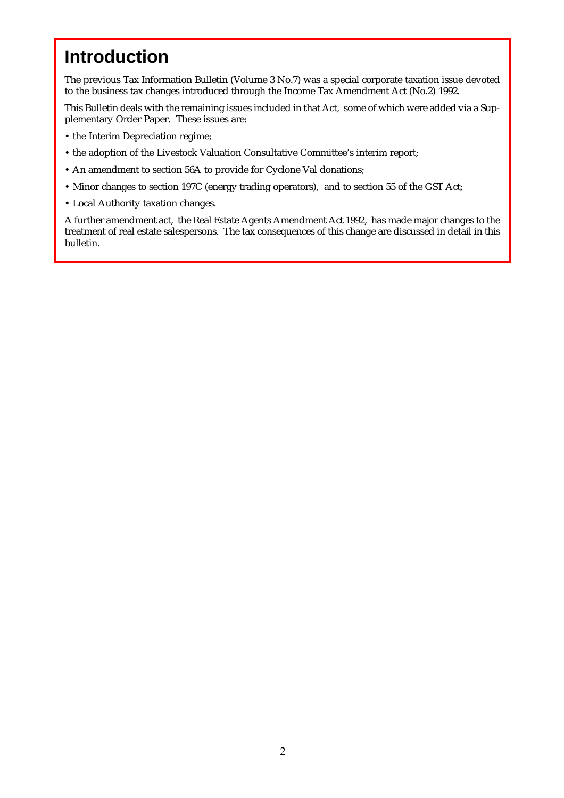# **Introduction**

The previous Tax Information Bulletin (Volume 3 No.7) was a special corporate taxation issue devoted to the business tax changes introduced through the Income Tax Amendment Act (No.2) 1992.

This Bulletin deals with the remaining issues included in that Act, some of which were added via a Supplementary Order Paper. These issues are:

- the Interim Depreciation regime;
- the adoption of the Livestock Valuation Consultative Committee's interim report;
- An amendment to section 56A to provide for Cyclone Val donations;
- Minor changes to section 197C (energy trading operators), and to section 55 of the GST Act;
- Local Authority taxation changes.

A further amendment act, the Real Estate Agents Amendment Act 1992, has made major changes to the treatment of real estate salespersons. The tax consequences of this change are discussed in detail in this bulletin.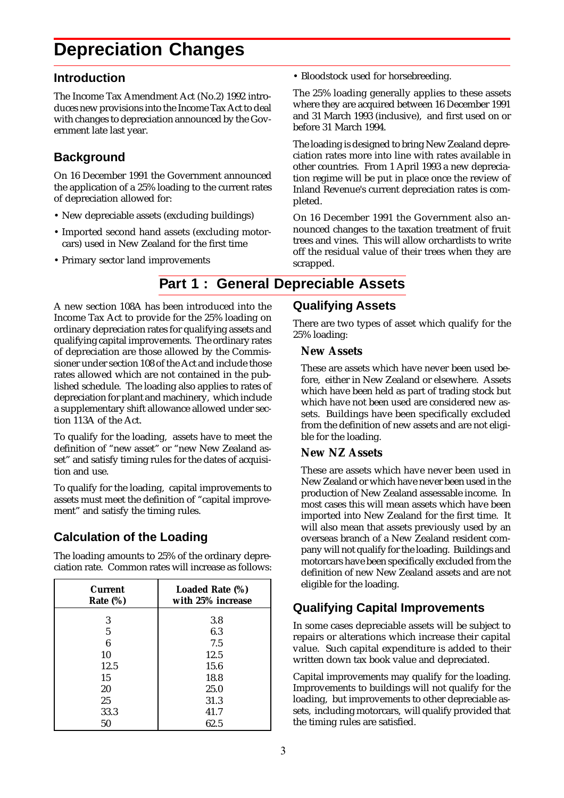# **Depreciation Changes**

### **Introduction**

The Income Tax Amendment Act (No.2) 1992 introduces new provisions into the Income Tax Act to deal with changes to depreciation announced by the Government late last year.

# **Background**

On 16 December 1991 the Government announced the application of a 25% loading to the current rates of depreciation allowed for:

- New depreciable assets (excluding buildings)
- Imported second hand assets (excluding motorcars) used in New Zealand for the first time
- Primary sector land improvements

• Bloodstock used for horsebreeding.

The 25% loading generally applies to these assets where they are acquired between 16 December 1991 and 31 March 1993 (inclusive), and first used on or before 31 March 1994.

The loading is designed to bring New Zealand depreciation rates more into line with rates available in other countries. From 1 April 1993 a new depreciation regime will be put in place once the review of Inland Revenue's current depreciation rates is completed.

On 16 December 1991 the Government also announced changes to the taxation treatment of fruit trees and vines. This will allow orchardists to write off the residual value of their trees when they are scrapped.

# **Part 1 : General Depreciable Assets**

A new section 108A has been introduced into the Income Tax Act to provide for the 25% loading on ordinary depreciation rates for qualifying assets and qualifying capital improvements. The ordinary rates of depreciation are those allowed by the Commissioner under section 108 of the Act and include those rates allowed which are not contained in the published schedule. The loading also applies to rates of depreciation for plant and machinery, which include a supplementary shift allowance allowed under section 113A of the Act.

To qualify for the loading, assets have to meet the definition of "new asset" or "new New Zealand asset" and satisfy timing rules for the dates of acquisition and use.

To qualify for the loading, capital improvements to assets must meet the definition of "capital improvement" and satisfy the timing rules.

# **Calculation of the Loading**

The loading amounts to 25% of the ordinary depreciation rate. Common rates will increase as follows:

| <b>Current</b><br>Rate $(\%)$ | Loaded Rate (%)<br>with 25% increase |
|-------------------------------|--------------------------------------|
| 3                             | 3.8                                  |
| 5                             | 6.3                                  |
| 6                             | 7.5                                  |
| 10                            | 12.5                                 |
| 12.5                          | 15.6                                 |
| 15                            | 18.8                                 |
| 20                            | 25.0                                 |
| 25                            | 31.3                                 |
| 33.3                          | 41.7                                 |
| 50                            | 62.5                                 |

### **Qualifying Assets**

There are two types of asset which qualify for the 25% loading:

### **New Assets**

These are assets which have never been used before, either in New Zealand or elsewhere. Assets which have been held as part of trading stock but which have not been used are considered new assets. Buildings have been specifically excluded from the definition of new assets and are not eligible for the loading.

### **New NZ Assets**

These are assets which have never been used in New Zealand or which have never been used in the production of New Zealand assessable income. In most cases this will mean assets which have been imported into New Zealand for the first time. It will also mean that assets previously used by an overseas branch of a New Zealand resident company will not qualify for the loading. Buildings and motorcars have been specifically excluded from the definition of new New Zealand assets and are not eligible for the loading.

# **Qualifying Capital Improvements**

In some cases depreciable assets will be subject to repairs or alterations which increase their capital value. Such capital expenditure is added to their written down tax book value and depreciated.

Capital improvements may qualify for the loading. Improvements to buildings will not qualify for the loading, but improvements to other depreciable assets, including motorcars, will qualify provided that the timing rules are satisfied.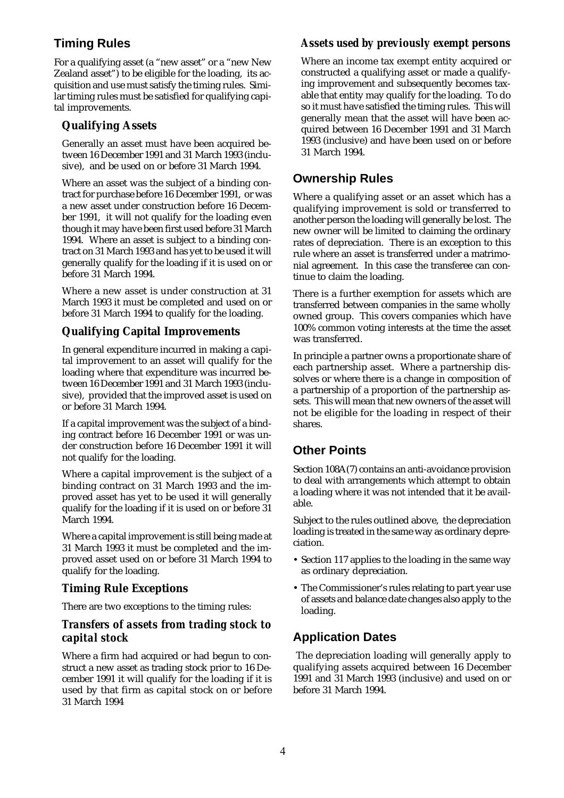# **Timing Rules**

For a qualifying asset (a "new asset" or a "new New Zealand asset") to be eligible for the loading, its acquisition and use must satisfy the timing rules. Similar timing rules must be satisfied for qualifying capital improvements.

### **Qualifying Assets**

Generally an asset must have been acquired between 16 December 1991 and 31 March 1993 (inclusive), and be used on or before 31 March 1994.

Where an asset was the subject of a binding contract for purchase before 16 December 1991, or was a new asset under construction before 16 December 1991, it will not qualify for the loading even though it may have been first used before 31 March 1994. Where an asset is subject to a binding contract on 31 March 1993 and has yet to be used it will generally qualify for the loading if it is used on or before 31 March 1994.

Where a new asset is under construction at 31 March 1993 it must be completed and used on or before 31 March 1994 to qualify for the loading.

### **Qualifying Capital Improvements**

In general expenditure incurred in making a capital improvement to an asset will qualify for the loading where that expenditure was incurred between 16 December 1991 and 31 March 1993 (inclusive), provided that the improved asset is used on or before 31 March 1994.

If a capital improvement was the subject of a binding contract before 16 December 1991 or was under construction before 16 December 1991 it will not qualify for the loading.

Where a capital improvement is the subject of a binding contract on 31 March 1993 and the improved asset has yet to be used it will generally qualify for the loading if it is used on or before 31 March 1994.

Where a capital improvement is still being made at 31 March 1993 it must be completed and the improved asset used on or before 31 March 1994 to qualify for the loading.

### **Timing Rule Exceptions**

There are two exceptions to the timing rules:

### *Transfers of assets from trading stock to capital stock*

Where a firm had acquired or had begun to construct a new asset as trading stock prior to 16 December 1991 it will qualify for the loading if it is used by that firm as capital stock on or before 31 March 1994

### *Assets used by previously exempt persons*

Where an income tax exempt entity acquired or constructed a qualifying asset or made a qualifying improvement and subsequently becomes taxable that entity may qualify for the loading. To do so it must have satisfied the timing rules. This will generally mean that the asset will have been acquired between 16 December 1991 and 31 March 1993 (inclusive) and have been used on or before 31 March 1994.

# **Ownership Rules**

Where a qualifying asset or an asset which has a qualifying improvement is sold or transferred to another person the loading will generally be lost. The new owner will be limited to claiming the ordinary rates of depreciation. There is an exception to this rule where an asset is transferred under a matrimonial agreement. In this case the transferee can continue to claim the loading.

There is a further exemption for assets which are transferred between companies in the same wholly owned group. This covers companies which have 100% common voting interests at the time the asset was transferred.

In principle a partner owns a proportionate share of each partnership asset. Where a partnership dissolves or where there is a change in composition of a partnership of a proportion of the partnership assets. This will mean that new owners of the asset will not be eligible for the loading in respect of their shares.

# **Other Points**

Section 108A(7) contains an anti-avoidance provision to deal with arrangements which attempt to obtain a loading where it was not intended that it be available.

Subject to the rules outlined above, the depreciation loading is treated in the same way as ordinary depreciation.

- Section 117 applies to the loading in the same way as ordinary depreciation.
- The Commissioner's rules relating to part year use of assets and balance date changes also apply to the loading.

# **Application Dates**

 The depreciation loading will generally apply to qualifying assets acquired between 16 December 1991 and 31 March 1993 (inclusive) and used on or before 31 March 1994.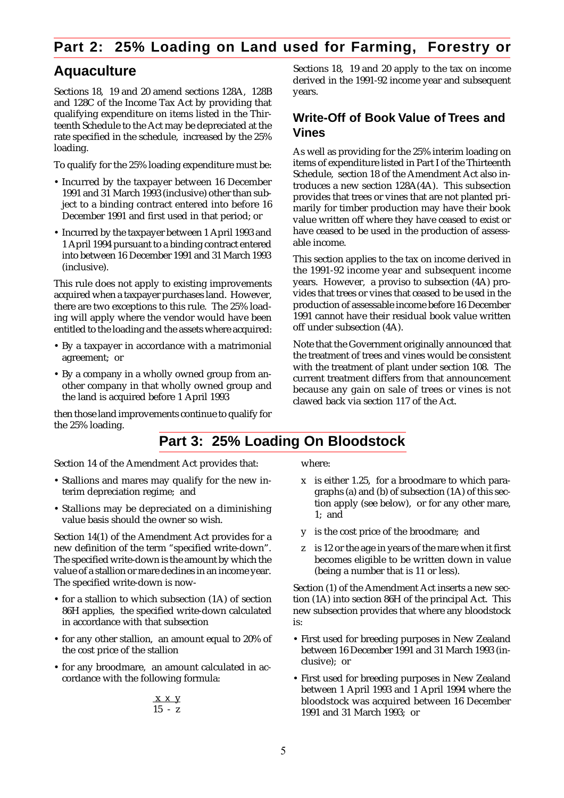# **Part 2: 25% Loading on Land used for Farming, Forestry or**

# **Aquaculture**

Sections 18, 19 and 20 amend sections 128A, 128B and 128C of the Income Tax Act by providing that qualifying expenditure on items listed in the Thirteenth Schedule to the Act may be depreciated at the rate specified in the schedule, increased by the 25% loading.

To qualify for the 25% loading expenditure must be:

- Incurred by the taxpayer between 16 December 1991 and 31 March 1993 (inclusive) other than subject to a binding contract entered into before 16 December 1991 and first used in that period; or
- Incurred by the taxpayer between 1 April 1993 and 1 April 1994 pursuant to a binding contract entered into between 16 December 1991 and 31 March 1993 (inclusive).

This rule does not apply to existing improvements acquired when a taxpayer purchases land. However, there are two exceptions to this rule. The 25% loading will apply where the vendor would have been entitled to the loading and the assets where acquired:

- By a taxpayer in accordance with a matrimonial agreement; or
- By a company in a wholly owned group from another company in that wholly owned group and the land is acquired before 1 April 1993

then those land improvements continue to qualify for the 25% loading.

Sections 18, 19 and 20 apply to the tax on income derived in the 1991-92 income year and subsequent years.

### **Write-Off of Book Value of Trees and Vines**

As well as providing for the 25% interim loading on items of expenditure listed in Part I of the Thirteenth Schedule, section 18 of the Amendment Act also introduces a new section 128A(4A). This subsection provides that trees or vines that are not planted primarily for timber production may have their book value written off where they have ceased to exist or have ceased to be used in the production of assessable income.

This section applies to the tax on income derived in the 1991-92 income year and subsequent income years. However, a proviso to subsection (4A) provides that trees or vines that ceased to be used in the production of assessable income before 16 December 1991 cannot have their residual book value written off under subsection (4A).

Note that the Government originally announced that the treatment of trees and vines would be consistent with the treatment of plant under section 108. The current treatment differs from that announcement because any gain on sale of trees or vines is not clawed back via section 117 of the Act.

# **Part 3: 25% Loading On Bloodstock**

Section 14 of the Amendment Act provides that:

- Stallions and mares may qualify for the new interim depreciation regime; and
- Stallions may be depreciated on a diminishing value basis should the owner so wish.

Section 14(1) of the Amendment Act provides for a new definition of the term "specified write-down". The specified write-down is the amount by which the value of a stallion or mare declines in an income year. The specified write-down is now-

- for a stallion to which subsection (1A) of section 86H applies, the specified write-down calculated in accordance with that subsection
- for any other stallion, an amount equal to 20% of the cost price of the stallion
- for any broodmare, an amount calculated in accordance with the following formula:

$$
\frac{x \times y}{15 - z}
$$

where:

- x is either 1.25, for a broodmare to which paragraphs (a) and (b) of subsection (1A) of this section apply (see below), or for any other mare, 1; and
- y is the cost price of the broodmare; and
- z is 12 or the age in years of the mare when it first becomes eligible to be written down in value (being a number that is 11 or less).

Section (1) of the Amendment Act inserts a new section (1A) into section 86H of the principal Act. This new subsection provides that where any bloodstock is:

- First used for breeding purposes in New Zealand between 16 December 1991 and 31 March 1993 (inclusive); or
- First used for breeding purposes in New Zealand between 1 April 1993 and 1 April 1994 where the bloodstock was acquired between 16 December 1991 and 31 March 1993; or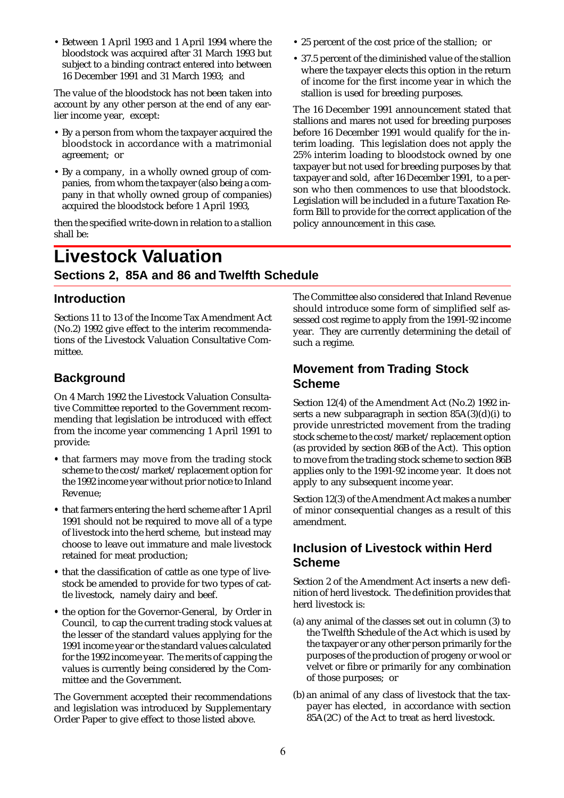• Between 1 April 1993 and 1 April 1994 where the bloodstock was acquired after 31 March 1993 but subject to a binding contract entered into between 16 December 1991 and 31 March 1993; and

The value of the bloodstock has not been taken into account by any other person at the end of any earlier income year, except:

- By a person from whom the taxpayer acquired the bloodstock in accordance with a matrimonial agreement; or
- By a company, in a wholly owned group of companies, from whom the taxpayer (also being a company in that wholly owned group of companies) acquired the bloodstock before 1 April 1993,

then the specified write-down in relation to a stallion shall be:

- 25 percent of the cost price of the stallion; or
- 37.5 percent of the diminished value of the stallion where the taxpayer elects this option in the return of income for the first income year in which the stallion is used for breeding purposes.

The 16 December 1991 announcement stated that stallions and mares not used for breeding purposes before 16 December 1991 would qualify for the interim loading. This legislation does not apply the 25% interim loading to bloodstock owned by one taxpayer but not used for breeding purposes by that taxpayer and sold, after 16 December 1991, to a person who then commences to use that bloodstock. Legislation will be included in a future Taxation Reform Bill to provide for the correct application of the policy announcement in this case.

# **Livestock Valuation Sections 2, 85A and 86 and Twelfth Schedule**

### **Introduction**

Sections 11 to 13 of the Income Tax Amendment Act (No.2) 1992 give effect to the interim recommendations of the Livestock Valuation Consultative Committee.

## **Background**

On 4 March 1992 the Livestock Valuation Consultative Committee reported to the Government recommending that legislation be introduced with effect from the income year commencing 1 April 1991 to provide:

- **•** that farmers may move from the trading stock scheme to the cost/market/replacement option for the 1992 income year without prior notice to Inland Revenue;
- **•** that farmers entering the herd scheme after 1 April 1991 should not be required to move all of a type of livestock into the herd scheme, but instead may choose to leave out immature and male livestock retained for meat production;
- **•** that the classification of cattle as one type of livestock be amended to provide for two types of cattle livestock, namely dairy and beef.
- **•** the option for the Governor-General, by Order in Council, to cap the current trading stock values at the lesser of the standard values applying for the 1991 income year or the standard values calculated for the 1992 income year. The merits of capping the values is currently being considered by the Committee and the Government.

The Government accepted their recommendations and legislation was introduced by Supplementary Order Paper to give effect to those listed above.

The Committee also considered that Inland Revenue should introduce some form of simplified self assessed cost regime to apply from the 1991-92 income year. They are currently determining the detail of such a regime.

### **Movement from Trading Stock Scheme**

Section 12(4) of the Amendment Act (No.2) 1992 inserts a new subparagraph in section  $85A(3)(d)(i)$  to provide unrestricted movement from the trading stock scheme to the cost/market/replacement option (as provided by section 86B of the Act). This option to move from the trading stock scheme to section 86B applies only to the 1991-92 income year. It does not apply to any subsequent income year.

Section 12(3) of the Amendment Act makes a number of minor consequential changes as a result of this amendment.

### **Inclusion of Livestock within Herd Scheme**

Section 2 of the Amendment Act inserts a new definition of herd livestock. The definition provides that herd livestock is:

- (a) any animal of the classes set out in column (3) to the Twelfth Schedule of the Act which is used by the taxpayer or any other person primarily for the purposes of the production of progeny or wool or velvet or fibre or primarily for any combination of those purposes; or
- (b) an animal of any class of livestock that the taxpayer has elected, in accordance with section 85A(2C) of the Act to treat as herd livestock.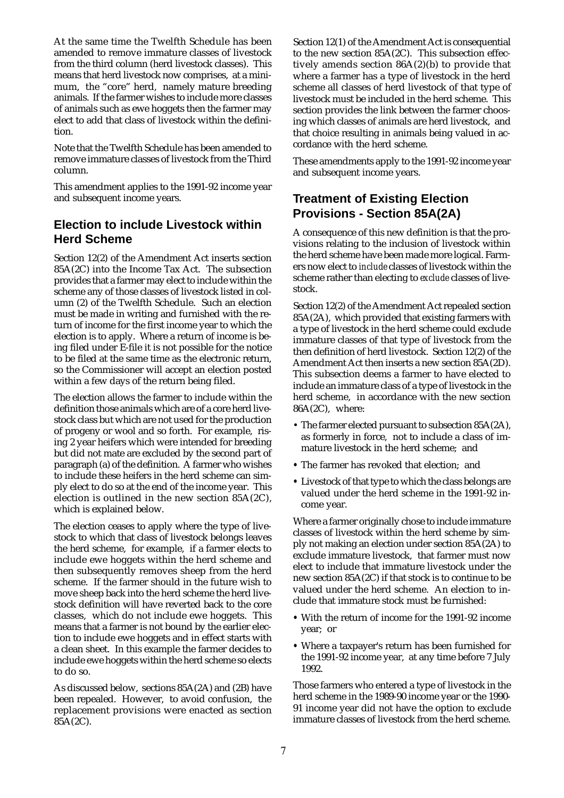At the same time the Twelfth Schedule has been amended to remove immature classes of livestock from the third column (herd livestock classes). This means that herd livestock now comprises, at a minimum, the "core" herd, namely mature breeding animals. If the farmer wishes to include more classes of animals such as ewe hoggets then the farmer may elect to add that class of livestock within the definition.

Note that the Twelfth Schedule has been amended to remove immature classes of livestock from the Third column.

This amendment applies to the 1991-92 income year and subsequent income years.

## **Election to include Livestock within Herd Scheme**

Section 12(2) of the Amendment Act inserts section 85A(2C) into the Income Tax Act. The subsection provides that a farmer may elect to include within the scheme any of those classes of livestock listed in column (2) of the Twelfth Schedule. Such an election must be made in writing and furnished with the return of income for the first income year to which the election is to apply. Where a return of income is being filed under E-file it is not possible for the notice to be filed at the same time as the electronic return, so the Commissioner will accept an election posted within a few days of the return being filed.

The election allows the farmer to include within the definition those animals which are of a core herd livestock class but which are not used for the production of progeny or wool and so forth. For example, rising 2 year heifers which were intended for breeding but did not mate are excluded by the second part of paragraph (a) of the definition. A farmer who wishes to include these heifers in the herd scheme can simply elect to do so at the end of the income year. This election is outlined in the new section 85A(2C), which is explained below.

The election ceases to apply where the type of livestock to which that class of livestock belongs leaves the herd scheme, for example, if a farmer elects to include ewe hoggets within the herd scheme and then subsequently removes sheep from the herd scheme. If the farmer should in the future wish to move sheep back into the herd scheme the herd livestock definition will have reverted back to the core classes, which do not include ewe hoggets. This means that a farmer is not bound by the earlier election to include ewe hoggets and in effect starts with a clean sheet. In this example the farmer decides to include ewe hoggets within the herd scheme so elects to do so.

As discussed below, sections 85A(2A) and (2B) have been repealed. However, to avoid confusion, the replacement provisions were enacted as section  $85A(2C)$ .

Section 12(1) of the Amendment Act is consequential to the new section 85A(2C). This subsection effectively amends section 86A(2)(b) to provide that where a farmer has a type of livestock in the herd scheme all classes of herd livestock of that type of livestock must be included in the herd scheme. This section provides the link between the farmer choosing which classes of animals are herd livestock, and that choice resulting in animals being valued in accordance with the herd scheme.

These amendments apply to the 1991-92 income year and subsequent income years.

### **Treatment of Existing Election Provisions - Section 85A(2A)**

A consequence of this new definition is that the provisions relating to the inclusion of livestock within the herd scheme have been made more logical. Farmers now elect to *include* classes of livestock within the scheme rather than electing to *exclude* classes of livestock.

Section 12(2) of the Amendment Act repealed section 85A(2A), which provided that existing farmers with a type of livestock in the herd scheme could exclude immature classes of that type of livestock from the then definition of herd livestock. Section 12(2) of the Amendment Act then inserts a new section 85A(2D). This subsection deems a farmer to have elected to include an immature class of a type of livestock in the herd scheme, in accordance with the new section 86A(2C), where:

- The farmer elected pursuant to subsection 85A(2A), as formerly in force, not to include a class of immature livestock in the herd scheme; and
- **•** The farmer has revoked that election; and
- **•** Livestock of that type to which the class belongs are valued under the herd scheme in the 1991-92 income year.

Where a farmer originally chose to include immature classes of livestock within the herd scheme by simply not making an election under section 85A(2A) to exclude immature livestock, that farmer must now elect to include that immature livestock under the new section 85A(2C) if that stock is to continue to be valued under the herd scheme. An election to include that immature stock must be furnished:

- **•** With the return of income for the 1991-92 income year; or
- **•** Where a taxpayer's return has been furnished for the 1991-92 income year, at any time before 7 July 1992.

Those farmers who entered a type of livestock in the herd scheme in the 1989-90 income year or the 1990- 91 income year did not have the option to exclude immature classes of livestock from the herd scheme.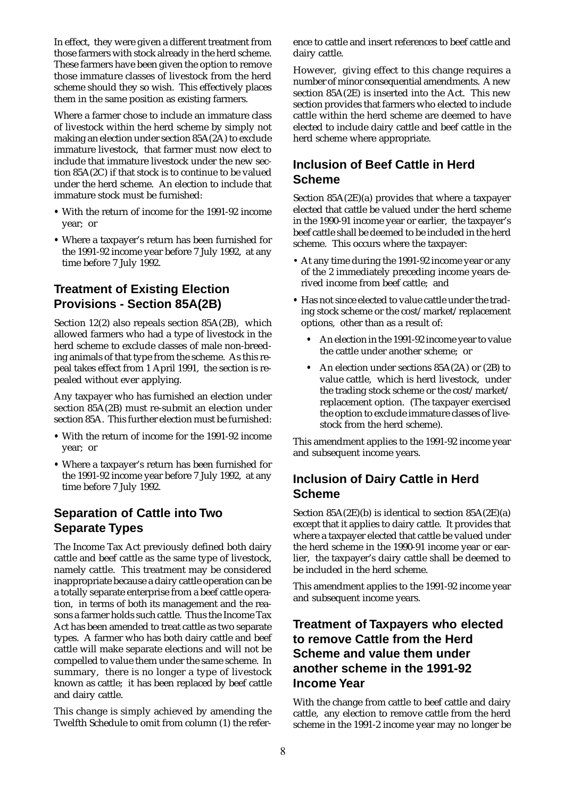In effect, they were given a different treatment from those farmers with stock already in the herd scheme. These farmers have been given the option to remove those immature classes of livestock from the herd scheme should they so wish. This effectively places them in the same position as existing farmers.

Where a farmer chose to include an immature class of livestock within the herd scheme by simply not making an election under section 85A(2A) to exclude immature livestock, that farmer must now elect to include that immature livestock under the new section 85A(2C) if that stock is to continue to be valued under the herd scheme. An election to include that immature stock must be furnished:

- **•** With the return of income for the 1991-92 income year; or
- **•** Where a taxpayer's return has been furnished for the 1991-92 income year before 7 July 1992, at any time before 7 July 1992.

## **Treatment of Existing Election Provisions - Section 85A(2B)**

Section 12(2) also repeals section 85A(2B), which allowed farmers who had a type of livestock in the herd scheme to exclude classes of male non-breeding animals of that type from the scheme. As this repeal takes effect from 1 April 1991, the section is repealed without ever applying.

Any taxpayer who has furnished an election under section 85A(2B) must re-submit an election under section 85A. This further election must be furnished:

- **•** With the return of income for the 1991-92 income year; or
- **•** Where a taxpayer's return has been furnished for the 1991-92 income year before 7 July 1992, at any time before 7 July 1992.

## **Separation of Cattle into Two Separate Types**

The Income Tax Act previously defined both dairy cattle and beef cattle as the same type of livestock, namely cattle. This treatment may be considered inappropriate because a dairy cattle operation can be a totally separate enterprise from a beef cattle operation, in terms of both its management and the reasons a farmer holds such cattle. Thus the Income Tax Act has been amended to treat cattle as two separate types. A farmer who has both dairy cattle and beef cattle will make separate elections and will not be compelled to value them under the same scheme. In summary, there is no longer a type of livestock known as cattle; it has been replaced by beef cattle and dairy cattle.

This change is simply achieved by amending the Twelfth Schedule to omit from column (1) the reference to cattle and insert references to beef cattle and dairy cattle.

However, giving effect to this change requires a number of minor consequential amendments. A new section 85A(2E) is inserted into the Act. This new section provides that farmers who elected to include cattle within the herd scheme are deemed to have elected to include dairy cattle and beef cattle in the herd scheme where appropriate.

### **Inclusion of Beef Cattle in Herd Scheme**

Section 85A(2E)(a) provides that where a taxpayer elected that cattle be valued under the herd scheme in the 1990-91 income year or earlier, the taxpayer's beef cattle shall be deemed to be included in the herd scheme. This occurs where the taxpayer:

- At any time during the 1991-92 income year or any of the 2 immediately preceding income years derived income from beef cattle; and
- **•** Has not since elected to value cattle under the trading stock scheme or the cost/market/replacement options, other than as a result of:
	- **•** An election in the 1991-92 income year to value the cattle under another scheme; or
	- **•** An election under sections 85A(2A) or (2B) to value cattle, which is herd livestock, under the trading stock scheme or the cost/market/ replacement option. (The taxpayer exercised the option to exclude immature classes of livestock from the herd scheme).

This amendment applies to the 1991-92 income year and subsequent income years.

### **Inclusion of Dairy Cattle in Herd Scheme**

Section 85A(2E)(b) is identical to section 85A(2E)(a) except that it applies to dairy cattle. It provides that where a taxpayer elected that cattle be valued under the herd scheme in the 1990-91 income year or earlier, the taxpayer's dairy cattle shall be deemed to be included in the herd scheme.

This amendment applies to the 1991-92 income year and subsequent income years.

### **Treatment of Taxpayers who elected to remove Cattle from the Herd Scheme and value them under another scheme in the 1991-92 Income Year**

With the change from cattle to beef cattle and dairy cattle, any election to remove cattle from the herd scheme in the 1991-2 income year may no longer be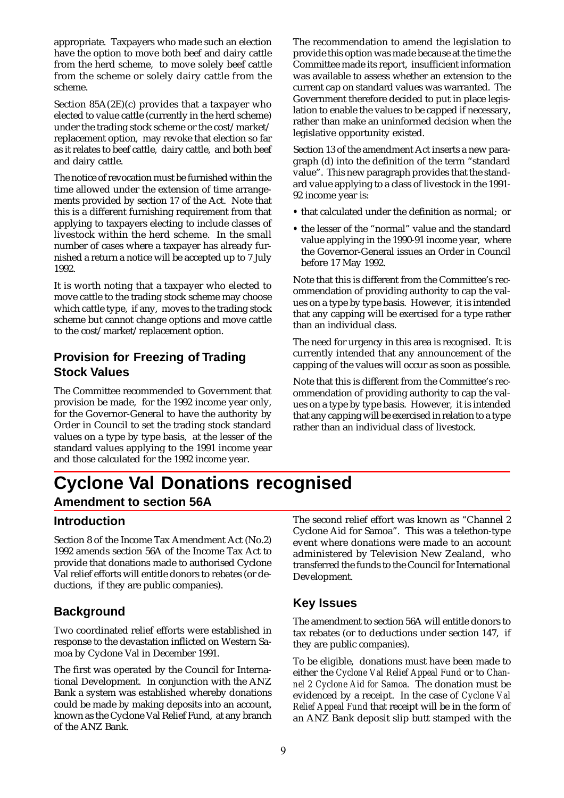appropriate. Taxpayers who made such an election have the option to move both beef and dairy cattle from the herd scheme, to move solely beef cattle from the scheme or solely dairy cattle from the scheme.

Section 85A(2E)(c) provides that a taxpayer who elected to value cattle (currently in the herd scheme) under the trading stock scheme or the cost/market/ replacement option, may revoke that election so far as it relates to beef cattle, dairy cattle, and both beef and dairy cattle.

The notice of revocation must be furnished within the time allowed under the extension of time arrangements provided by section 17 of the Act. Note that this is a different furnishing requirement from that applying to taxpayers electing to include classes of livestock within the herd scheme. In the small number of cases where a taxpayer has already furnished a return a notice will be accepted up to 7 July 1992.

It is worth noting that a taxpayer who elected to move cattle to the trading stock scheme may choose which cattle type, if any, moves to the trading stock scheme but cannot change options and move cattle to the cost/market/replacement option.

## **Provision for Freezing of Trading Stock Values**

The Committee recommended to Government that provision be made, for the 1992 income year only, for the Governor-General to have the authority by Order in Council to set the trading stock standard values on a type by type basis, at the lesser of the standard values applying to the 1991 income year and those calculated for the 1992 income year.

The recommendation to amend the legislation to provide this option was made because at the time the Committee made its report, insufficient information was available to assess whether an extension to the current cap on standard values was warranted. The Government therefore decided to put in place legislation to enable the values to be capped if necessary, rather than make an uninformed decision when the legislative opportunity existed.

Section 13 of the amendment Act inserts a new paragraph (d) into the definition of the term "standard value". This new paragraph provides that the standard value applying to a class of livestock in the 1991- 92 income year is:

- **•** that calculated under the definition as normal; or
- **•** the lesser of the "normal" value and the standard value applying in the 1990-91 income year, where the Governor-General issues an Order in Council before 17 May 1992.

Note that this is different from the Committee's recommendation of providing authority to cap the values on a type by type basis. However, it is intended that any capping will be exercised for a type rather than an individual class.

The need for urgency in this area is recognised. It is currently intended that any announcement of the capping of the values will occur as soon as possible.

Note that this is different from the Committee's recommendation of providing authority to cap the values on a type by type basis. However, it is intended that any capping will be exercised in relation to a type rather than an individual class of livestock.

# **Cyclone Val Donations recognised**

### **Amendment to section 56A**

### **Introduction**

Section 8 of the Income Tax Amendment Act (No.2) 1992 amends section 56A of the Income Tax Act to provide that donations made to authorised Cyclone Val relief efforts will entitle donors to rebates (or deductions, if they are public companies).

### **Background**

Two coordinated relief efforts were established in response to the devastation inflicted on Western Samoa by Cyclone Val in December 1991.

The first was operated by the Council for International Development. In conjunction with the ANZ Bank a system was established whereby donations could be made by making deposits into an account, known as the Cyclone Val Relief Fund, at any branch of the ANZ Bank.

The second relief effort was known as "Channel 2 Cyclone Aid for Samoa". This was a telethon-type event where donations were made to an account administered by Television New Zealand, who transferred the funds to the Council for International Development.

### **Key Issues**

The amendment to section 56A will entitle donors to tax rebates (or to deductions under section 147, if they are public companies).

To be eligible, donations must have been made to either the *Cyclone Val Relief Appeal Fund* or to *Channel 2 Cyclone Aid for Samoa.* The donation must be evidenced by a receipt. In the case of *Cyclone Val Relief Appeal Fund* that receipt will be in the form of an ANZ Bank deposit slip butt stamped with the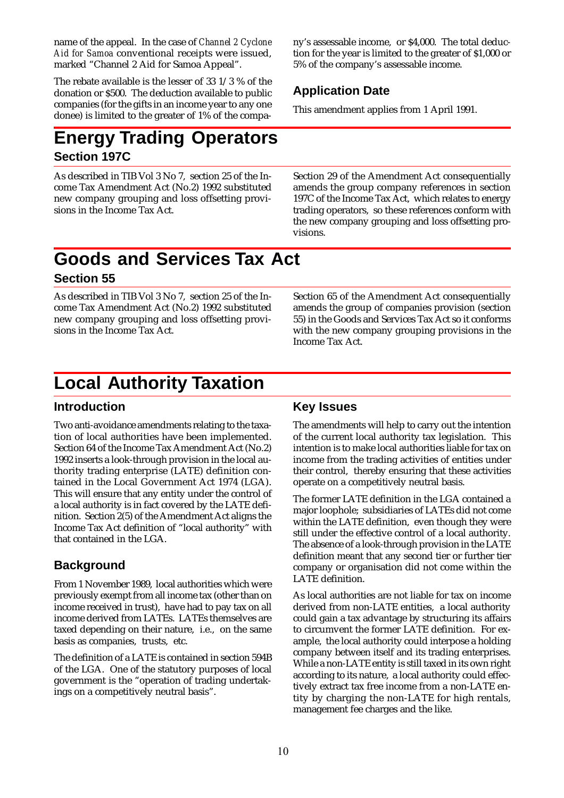name of the appeal. In the case of *Channel 2 Cyclone Aid for Samoa* conventional receipts were issued, marked "Channel 2 Aid for Samoa Appeal".

The rebate available is the lesser of 33 1/3 % of the donation or \$500. The deduction available to public companies (for the gifts in an income year to any one donee) is limited to the greater of 1% of the compa-

# **Energy Trading Operators Section 197C**

As described in TIB Vol 3 No 7, section 25 of the Income Tax Amendment Act (No.2) 1992 substituted new company grouping and loss offsetting provisions in the Income Tax Act.

ny's assessable income, or \$4,000. The total deduction for the year is limited to the greater of \$1,000 or 5% of the company's assessable income.

## **Application Date**

This amendment applies from 1 April 1991.

Section 29 of the Amendment Act consequentially amends the group company references in section 197C of the Income Tax Act, which relates to energy trading operators, so these references conform with the new company grouping and loss offsetting provisions.

# **Goods and Services Tax Act Section 55**

As described in TIB Vol 3 No 7, section 25 of the Income Tax Amendment Act (No.2) 1992 substituted new company grouping and loss offsetting provisions in the Income Tax Act.

Section 65 of the Amendment Act consequentially amends the group of companies provision (section 55) in the Goods and Services Tax Act so it conforms with the new company grouping provisions in the Income Tax Act.

# **Local Authority Taxation**

### **Introduction**

Two anti-avoidance amendments relating to the taxation of local authorities have been implemented. Section 64 of the Income Tax Amendment Act (No.2) 1992 inserts a look-through provision in the local authority trading enterprise (LATE) definition contained in the Local Government Act 1974 (LGA). This will ensure that any entity under the control of a local authority is in fact covered by the LATE definition. Section 2(5) of the Amendment Act aligns the Income Tax Act definition of "local authority" with that contained in the LGA.

# **Background**

From 1 November 1989, local authorities which were previously exempt from all income tax (other than on income received in trust), have had to pay tax on all income derived from LATEs. LATEs themselves are taxed depending on their nature, i.e., on the same basis as companies, trusts, etc.

The definition of a LATE is contained in section 594B of the LGA. One of the statutory purposes of local government is the "operation of trading undertakings on a competitively neutral basis".

# **Key Issues**

The amendments will help to carry out the intention of the current local authority tax legislation. This intention is to make local authorities liable for tax on income from the trading activities of entities under their control, thereby ensuring that these activities operate on a competitively neutral basis.

The former LATE definition in the LGA contained a major loophole; subsidiaries of LATEs did not come within the LATE definition, even though they were still under the effective control of a local authority. The absence of a look-through provision in the LATE definition meant that any second tier or further tier company or organisation did not come within the LATE definition.

As local authorities are not liable for tax on income derived from non-LATE entities, a local authority could gain a tax advantage by structuring its affairs to circumvent the former LATE definition. For example, the local authority could interpose a holding company between itself and its trading enterprises. While a non-LATE entity is still taxed in its own right according to its nature, a local authority could effectively extract tax free income from a non-LATE entity by charging the non-LATE for high rentals, management fee charges and the like.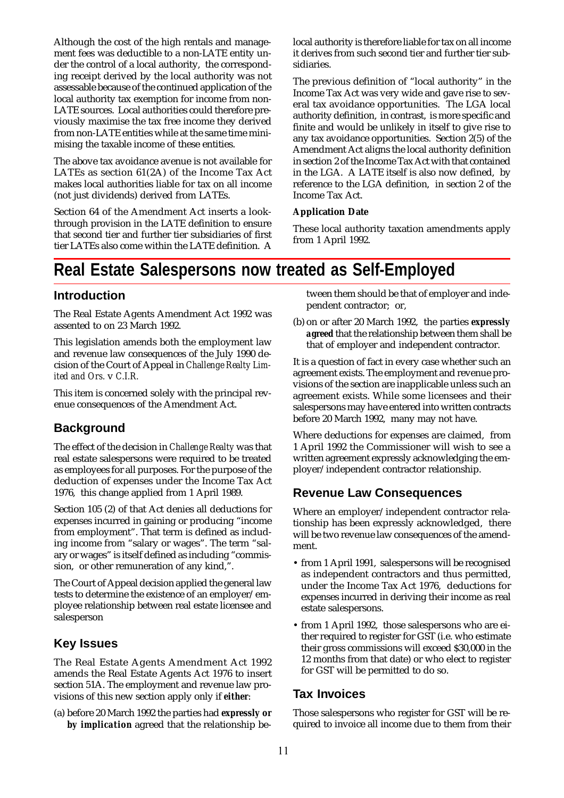Although the cost of the high rentals and management fees was deductible to a non-LATE entity under the control of a local authority, the corresponding receipt derived by the local authority was not assessable because of the continued application of the local authority tax exemption for income from non-LATE sources. Local authorities could therefore previously maximise the tax free income they derived from non-LATE entities while at the same time minimising the taxable income of these entities.

The above tax avoidance avenue is not available for LATEs as section 61(2A) of the Income Tax Act makes local authorities liable for tax on all income (not just dividends) derived from LATEs.

Section 64 of the Amendment Act inserts a lookthrough provision in the LATE definition to ensure that second tier and further tier subsidiaries of first tier LATEs also come within the LATE definition. A local authority is therefore liable for tax on all income it derives from such second tier and further tier subsidiaries.

The previous definition of "local authority" in the Income Tax Act was very wide and gave rise to several tax avoidance opportunities. The LGA local authority definition, in contrast, is more specific and finite and would be unlikely in itself to give rise to any tax avoidance opportunities. Section 2(5) of the Amendment Act aligns the local authority definition in section 2 of the Income Tax Act with that contained in the LGA. A LATE itself is also now defined, by reference to the LGA definition, in section 2 of the Income Tax Act.

#### **Application Date**

These local authority taxation amendments apply from 1 April 1992.

# **Real Estate Salespersons now treated as Self-Employed**

### **Introduction**

The Real Estate Agents Amendment Act 1992 was assented to on 23 March 1992.

This legislation amends both the employment law and revenue law consequences of the July 1990 decision of the Court of Appeal in *Challenge Realty Limited and Ors.* v *C.I.R.*

This item is concerned solely with the principal revenue consequences of the Amendment Act.

### **Background**

The effect of the decision in *Challenge Realty* was that real estate salespersons were required to be treated as employees for all purposes. For the purpose of the deduction of expenses under the Income Tax Act 1976, this change applied from 1 April 1989.

Section 105 (2) of that Act denies all deductions for expenses incurred in gaining or producing "income from employment". That term is defined as including income from "salary or wages". The term "salary or wages" is itself defined as including "commission, or other remuneration of any kind,".

The Court of Appeal decision applied the general law tests to determine the existence of an employer/employee relationship between real estate licensee and salesperson

### **Key Issues**

The Real Estate Agents Amendment Act 1992 amends the Real Estate Agents Act 1976 to insert section 51A. The employment and revenue law provisions of this new section apply only if *either*:

(a) before 20 March 1992 the parties had *expressly or by implication* agreed that the relationship between them should be that of employer and independent contractor; or,

(b) on or after 20 March 1992, the parties *expressly agreed* that the relationship between them shall be that of employer and independent contractor.

It is a question of fact in every case whether such an agreement exists. The employment and revenue provisions of the section are inapplicable unless such an agreement exists. While some licensees and their salespersons may have entered into written contracts before 20 March 1992, many may not have.

Where deductions for expenses are claimed, from 1 April 1992 the Commissioner will wish to see a written agreement expressly acknowledging the employer/independent contractor relationship.

### **Revenue Law Consequences**

Where an employer/independent contractor relationship has been expressly acknowledged, there will be two revenue law consequences of the amendment.

- from 1 April 1991, salespersons will be recognised as independent contractors and thus permitted, under the Income Tax Act 1976, deductions for expenses incurred in deriving their income as real estate salespersons.
- from 1 April 1992, those salespersons who are either required to register for GST (i.e. who estimate their gross commissions will exceed \$30,000 in the 12 months from that date) or who elect to register for GST will be permitted to do so.

### **Tax Invoices**

Those salespersons who register for GST will be required to invoice all income due to them from their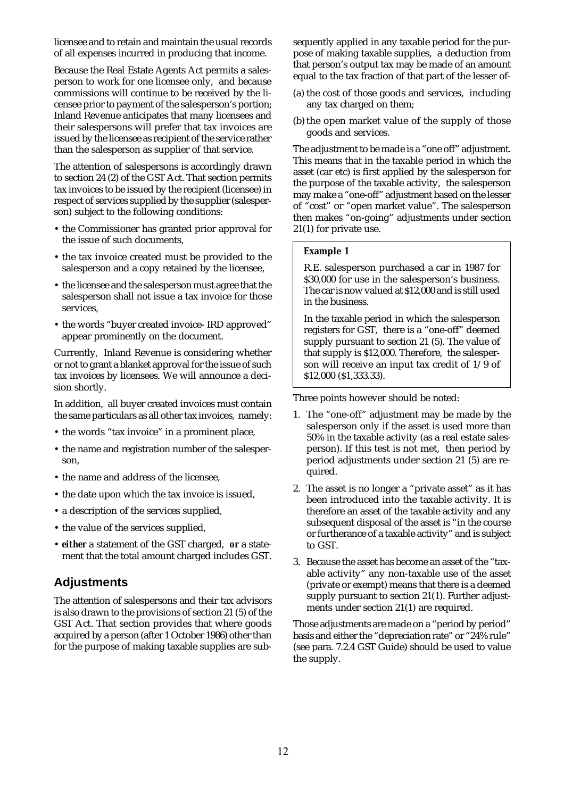licensee and to retain and maintain the usual records of all expenses incurred in producing that income.

Because the Real Estate Agents Act permits a salesperson to work for one licensee only, and because commissions will continue to be received by the licensee prior to payment of the salesperson's portion; Inland Revenue anticipates that many licensees and their salespersons will prefer that tax invoices are issued by the licensee as recipient of the service rather than the salesperson as supplier of that service.

The attention of salespersons is accordingly drawn to section 24 (2) of the GST Act. That section permits tax invoices to be issued by the recipient (licensee) in respect of services supplied by the supplier (salesperson) subject to the following conditions:

- the Commissioner has granted prior approval for the issue of such documents,
- the tax invoice created must be provided to the salesperson and a copy retained by the licensee,
- the licensee and the salesperson must agree that the salesperson shall not issue a tax invoice for those services,
- the words "buyer created invoice- IRD approved" appear prominently on the document.

Currently, Inland Revenue is considering whether or not to grant a blanket approval for the issue of such tax invoices by licensees. We will announce a decision shortly.

In addition, all buyer created invoices must contain the same particulars as all other tax invoices, namely:

- the words "tax invoice" in a prominent place,
- the name and registration number of the salesperson,
- the name and address of the licensee,
- the date upon which the tax invoice is issued,
- a description of the services supplied,
- the value of the services supplied,
- *either* a statement of the GST charged, *or* a statement that the total amount charged includes GST.

### **Adjustments**

The attention of salespersons and their tax advisors is also drawn to the provisions of section 21 (5) of the GST Act. That section provides that where goods acquired by a person (after 1 October 1986) other than for the purpose of making taxable supplies are subsequently applied in any taxable period for the purpose of making taxable supplies, a deduction from that person's output tax may be made of an amount equal to the tax fraction of that part of the lesser of-

- (a) the cost of those goods and services, including any tax charged on them;
- (b) the open market value of the supply of those goods and services.

The adjustment to be made is a "one off" adjustment. This means that in the taxable period in which the asset (car etc) is first applied by the salesperson for the purpose of the taxable activity, the salesperson may make a "one-off" adjustment based on the lesser of "cost" or "open market value". The salesperson then makes "on-going" adjustments under section 21(1) for private use.

#### **Example 1**

R.E. salesperson purchased a car in 1987 for \$30,000 for use in the salesperson's business. The car is now valued at \$12,000 and is still used in the business.

In the taxable period in which the salesperson registers for GST, there is a "one-off" deemed supply pursuant to section 21 (5). The value of that supply is \$12,000. Therefore, the salesperson will receive an input tax credit of 1/9 of \$12,000 (\$1,333.33).

Three points however should be noted:

- 1. The "one-off" adjustment may be made by the salesperson only if the asset is used more than 50% in the taxable activity (as a real estate salesperson). If this test is not met, then period by period adjustments under section 21 (5) are required.
- 2. The asset is no longer a "private asset" as it has been introduced into the taxable activity. It is therefore an asset of the taxable activity and any subsequent disposal of the asset is "in the course or furtherance of a taxable activity" and is subject to GST.
- 3. Because the asset has become an asset of the "taxable activity" any non-taxable use of the asset (private or exempt) means that there is a deemed supply pursuant to section 21(1). Further adjustments under section 21(1) are required.

Those adjustments are made on a "period by period" basis and either the "depreciation rate" or "24% rule" (see para. 7.2.4 GST Guide) should be used to value the supply.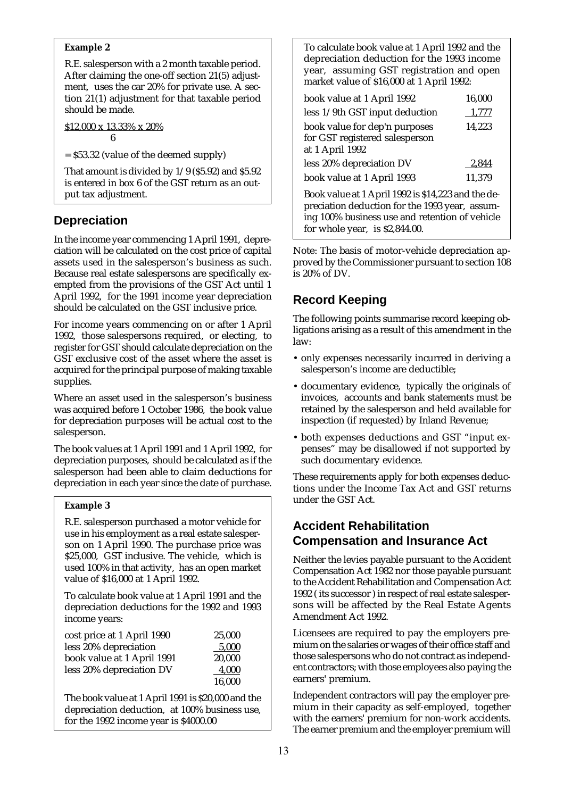#### **Example 2**

R.E. salesperson with a 2 month taxable period. After claiming the one-off section 21(5) adjustment, uses the car 20% for private use. A section 21(1) adjustment for that taxable period should be made.

\$12,000 x 13.33% x 20% 6

 $=$  \$53.32 (value of the deemed supply)

That amount is divided by 1/9 (\$5.92) and \$5.92 is entered in box 6 of the GST return as an output tax adjustment.

# **Depreciation**

In the income year commencing 1 April 1991, depreciation will be calculated on the cost price of capital assets used in the salesperson's business as such. Because real estate salespersons are specifically exempted from the provisions of the GST Act until 1 April 1992, for the 1991 income year depreciation should be calculated on the GST inclusive price.

For income years commencing on or after 1 April 1992, those salespersons required, or electing, to register for GST should calculate depreciation on the GST exclusive cost of the asset where the asset is acquired for the principal purpose of making taxable supplies.

Where an asset used in the salesperson's business was acquired before 1 October 1986, the book value for depreciation purposes will be actual cost to the salesperson.

The book values at 1 April 1991 and 1 April 1992, for depreciation purposes, should be calculated as if the salesperson had been able to claim deductions for depreciation in each year since the date of purchase.

### **Example 3**

R.E. salesperson purchased a motor vehicle for use in his employment as a real estate salesperson on 1 April 1990. The purchase price was \$25,000, GST inclusive. The vehicle, which is used 100% in that activity, has an open market value of \$16,000 at 1 April 1992.

To calculate book value at 1 April 1991 and the depreciation deductions for the 1992 and 1993 income years:

| cost price at 1 April 1990 | 25.000 |
|----------------------------|--------|
| less 20% depreciation      | 5,000  |
| book value at 1 April 1991 | 20,000 |
| less 20% depreciation DV   | 4.000  |
|                            | 16.000 |

The book value at 1 April 1991 is \$20,000 and the depreciation deduction, at 100% business use, for the 1992 income year is \$4000.00

To calculate book value at 1 April 1992 and the depreciation deduction for the 1993 income year, assuming GST registration and open market value of \$16,000 at 1 April 1992:

| book value at 1 April 1992                                                                                                                                                                 | 16,000 |  |  |
|--------------------------------------------------------------------------------------------------------------------------------------------------------------------------------------------|--------|--|--|
| less 1/9th GST input deduction                                                                                                                                                             | 1,777  |  |  |
| book value for dep'n purposes<br>for GST registered salesperson<br>at 1 April 1992                                                                                                         | 14,223 |  |  |
| less 20% depreciation DV                                                                                                                                                                   | 2.844  |  |  |
| book value at 1 April 1993                                                                                                                                                                 | 11,379 |  |  |
| Book value at 1 April 1992 is \$14,223 and the de-<br>preciation deduction for the 1993 year, assum-<br>ing 100% business use and retention of vehicle<br>for whole year, is $$2,844.00$ . |        |  |  |
|                                                                                                                                                                                            |        |  |  |

Note: The basis of motor-vehicle depreciation approved by the Commissioner pursuant to section 108 is 20% of DV.

# **Record Keeping**

The following points summarise record keeping obligations arising as a result of this amendment in the law:

- only expenses necessarily incurred in deriving a salesperson's income are deductible;
- documentary evidence, typically the originals of invoices, accounts and bank statements must be retained by the salesperson and held available for inspection (if requested) by Inland Revenue;
- both expenses deductions and GST "input expenses" may be disallowed if not supported by such documentary evidence.

These requirements apply for both expenses deductions under the Income Tax Act and GST returns under the GST Act.

## **Accident Rehabilitation Compensation and Insurance Act**

Neither the levies payable pursuant to the Accident Compensation Act 1982 nor those payable pursuant to the Accident Rehabilitation and Compensation Act 1992 ( its successor ) in respect of real estate salespersons will be affected by the Real Estate Agents Amendment Act 1992.

Licensees are required to pay the employers premium on the salaries or wages of their office staff and those salespersons who do not contract as independent contractors; with those employees also paying the earners' premium.

Independent contractors will pay the employer premium in their capacity as self-employed, together with the earners' premium for non-work accidents. The earner premium and the employer premium will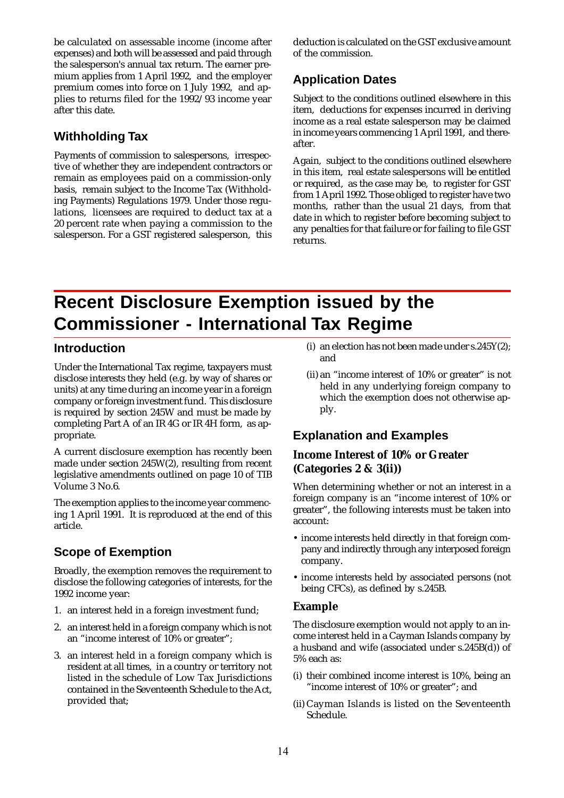be calculated on assessable income (income after expenses) and both will be assessed and paid through the salesperson's annual tax return. The earner premium applies from 1 April 1992, and the employer premium comes into force on 1 July 1992, and applies to returns filed for the 1992/93 income year after this date.

### **Withholding Tax**

Payments of commission to salespersons, irrespective of whether they are independent contractors or remain as employees paid on a commission-only basis, remain subject to the Income Tax (Withholding Payments) Regulations 1979. Under those regulations, licensees are required to deduct tax at a 20 percent rate when paying a commission to the salesperson. For a GST registered salesperson, this deduction is calculated on the GST exclusive amount of the commission.

# **Application Dates**

Subject to the conditions outlined elsewhere in this item, deductions for expenses incurred in deriving income as a real estate salesperson may be claimed in income years commencing 1 April 1991, and thereafter.

Again, subject to the conditions outlined elsewhere in this item, real estate salespersons will be entitled or required, as the case may be, to register for GST from 1 April 1992. Those obliged to register have two months, rather than the usual 21 days, from that date in which to register before becoming subject to any penalties for that failure or for failing to file GST returns.

# **Recent Disclosure Exemption issued by the Commissioner - International Tax Regime**

### **Introduction**

Under the International Tax regime, taxpayers must disclose interests they held (e.g. by way of shares or units) at any time during an income year in a foreign company or foreign investment fund. This disclosure is required by section 245W and must be made by completing Part A of an IR 4G or IR 4H form, as appropriate.

A current disclosure exemption has recently been made under section 245W(2), resulting from recent legislative amendments outlined on page 10 of TIB Volume 3 No.6.

The exemption applies to the income year commencing 1 April 1991. It is reproduced at the end of this article.

# **Scope of Exemption**

Broadly, the exemption removes the requirement to disclose the following categories of interests, for the 1992 income year:

- 1. an interest held in a foreign investment fund;
- 2. an interest held in a foreign company which is not an "income interest of 10% or greater";
- 3. an interest held in a foreign company which is resident at all times, in a country or territory not listed in the schedule of Low Tax Jurisdictions contained in the Seventeenth Schedule to the Act, provided that;
- (i) an election has not been made under s.245Y(2); and
- (ii) an "income interest of 10% or greater" is not held in any underlying foreign company to which the exemption does not otherwise apply.

### **Explanation and Examples**

### **Income Interest of 10% or Greater (Categories 2 & 3(ii))**

When determining whether or not an interest in a foreign company is an "income interest of 10% or greater", the following interests must be taken into account:

- income interests held directly in that foreign company and indirectly through any interposed foreign company.
- income interests held by associated persons (not being CFCs), as defined by s.245B.

### **Example**

The disclosure exemption would not apply to an income interest held in a Cayman Islands company by a husband and wife (associated under s.245B(d)) of 5% each as:

- (i) their combined income interest is 10%, being an "income interest of 10% or greater"; and
- (ii) Cayman Islands is listed on the Seventeenth Schedule.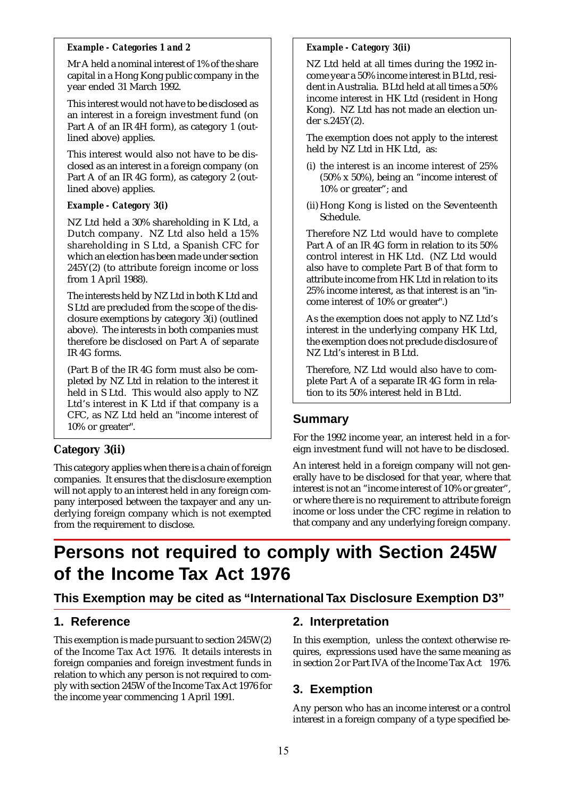#### *Example - Categories 1 and 2*

Mr A held a nominal interest of 1% of the share capital in a Hong Kong public company in the year ended 31 March 1992.

This interest would not have to be disclosed as an interest in a foreign investment fund (on Part A of an IR 4H form), as category 1 (outlined above) applies.

This interest would also not have to be disclosed as an interest in a foreign company (on Part A of an IR 4G form), as category 2 (outlined above) applies.

#### *Example - Category 3(i)*

NZ Ltd held a 30% shareholding in K Ltd, a Dutch company. NZ Ltd also held a 15% shareholding in S Ltd, a Spanish CFC for which an election has been made under section 245Y(2) (to attribute foreign income or loss from 1 April 1988).

The interests held by NZ Ltd in both K Ltd and S Ltd are precluded from the scope of the disclosure exemptions by category 3(i) (outlined above). The interests in both companies must therefore be disclosed on Part A of separate IR 4G forms.

(Part B of the IR 4G form must also be completed by NZ Ltd in relation to the interest it held in S Ltd. This would also apply to NZ Ltd's interest in K Ltd if that company is a CFC, as NZ Ltd held an "income interest of 10% or greater".

### **Category 3(ii)**

This category applies when there is a chain of foreign companies. It ensures that the disclosure exemption will not apply to an interest held in any foreign company interposed between the taxpayer and any underlying foreign company which is not exempted from the requirement to disclose.

### *Example - Category 3(ii)*

NZ Ltd held at all times during the 1992 income year a 50% income interest in B Ltd, resident in Australia. B Ltd held at all times a 50% income interest in HK Ltd (resident in Hong Kong). NZ Ltd has not made an election under s.245Y(2).

The exemption does not apply to the interest held by NZ Ltd in HK Ltd, as:

- (i) the interest is an income interest of 25% (50% x 50%), being an "income interest of 10% or greater"; and
- (ii) Hong Kong is listed on the Seventeenth Schedule.

Therefore NZ Ltd would have to complete Part A of an IR 4G form in relation to its 50% control interest in HK Ltd. (NZ Ltd would also have to complete Part B of that form to attribute income from HK Ltd in relation to its 25% income interest, as that interest is an "income interest of 10% or greater".)

As the exemption does not apply to NZ Ltd's interest in the underlying company HK Ltd, the exemption does not preclude disclosure of NZ Ltd's interest in B Ltd.

Therefore, NZ Ltd would also have to complete Part A of a separate IR 4G form in relation to its 50% interest held in B Ltd.

### **Summary**

For the 1992 income year, an interest held in a foreign investment fund will not have to be disclosed.

An interest held in a foreign company will not generally have to be disclosed for that year, where that interest is not an "income interest of 10% or greater", or where there is no requirement to attribute foreign income or loss under the CFC regime in relation to that company and any underlying foreign company.

# **Persons not required to comply with Section 245W of the Income Tax Act 1976**

### **This Exemption may be cited as "International Tax Disclosure Exemption D3"**

### **1. Reference**

This exemption is made pursuant to section 245W(2) of the Income Tax Act 1976. It details interests in foreign companies and foreign investment funds in relation to which any person is not required to comply with section 245W of the Income Tax Act 1976 for the income year commencing 1 April 1991.

### **2. Interpretation**

In this exemption, unless the context otherwise requires, expressions used have the same meaning as in section 2 or Part IVA of the Income Tax Act 1976.

### **3. Exemption**

Any person who has an income interest or a control interest in a foreign company of a type specified be-